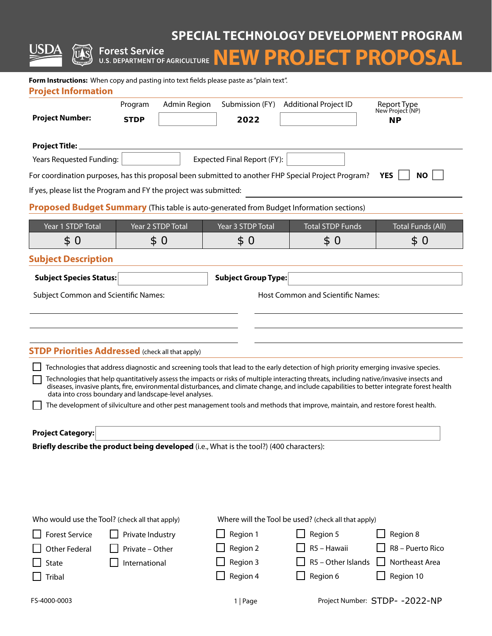# **SPECIAL TECHNOLOGY DEVELOPMENT PROGRAM**

**Forest Service Service NEW PROJECT PROPOSAL** 

兀 ١Š

| Form Instructions: When copy and pasting into text fields please paste as "plain text".<br><b>Project Information</b>                                                                                                                                                                                                                                                                                                                                                                      |                        |                      |                             |                                                                                                                                |                                              |  |
|--------------------------------------------------------------------------------------------------------------------------------------------------------------------------------------------------------------------------------------------------------------------------------------------------------------------------------------------------------------------------------------------------------------------------------------------------------------------------------------------|------------------------|----------------------|-----------------------------|--------------------------------------------------------------------------------------------------------------------------------|----------------------------------------------|--|
| <b>Project Number:</b>                                                                                                                                                                                                                                                                                                                                                                                                                                                                     | Program<br><b>STDP</b> | <b>Admin Region</b>  | Submission (FY)<br>2022     | <b>Additional Project ID</b>                                                                                                   | Report Type<br>New Project (NP)<br><b>NP</b> |  |
| <b>Project Title:</b>                                                                                                                                                                                                                                                                                                                                                                                                                                                                      |                        |                      |                             |                                                                                                                                |                                              |  |
| Years Requested Funding:                                                                                                                                                                                                                                                                                                                                                                                                                                                                   |                        |                      | Expected Final Report (FY): |                                                                                                                                |                                              |  |
| For coordination purposes, has this proposal been submitted to another FHP Special Project Program?                                                                                                                                                                                                                                                                                                                                                                                        |                        |                      |                             |                                                                                                                                | <b>YES</b><br><b>NO</b>                      |  |
| If yes, please list the Program and FY the project was submitted:                                                                                                                                                                                                                                                                                                                                                                                                                          |                        |                      |                             |                                                                                                                                |                                              |  |
| <b>Proposed Budget Summary</b> (This table is auto-generated from Budget Information sections)                                                                                                                                                                                                                                                                                                                                                                                             |                        |                      |                             |                                                                                                                                |                                              |  |
| Year 1 STDP Total                                                                                                                                                                                                                                                                                                                                                                                                                                                                          |                        | Year 2 STDP Total    | Year 3 STDP Total           | <b>Total STDP Funds</b>                                                                                                        | <b>Total Funds (All)</b>                     |  |
| \$<br>$\bf{0}$                                                                                                                                                                                                                                                                                                                                                                                                                                                                             |                        | \$0                  | \$0                         | \$0                                                                                                                            | \$0                                          |  |
| <b>Subject Description</b>                                                                                                                                                                                                                                                                                                                                                                                                                                                                 |                        |                      |                             |                                                                                                                                |                                              |  |
| <b>Subject Species Status:</b>                                                                                                                                                                                                                                                                                                                                                                                                                                                             |                        | $\blacktriangledown$ | <b>Subject Group Type:</b>  |                                                                                                                                |                                              |  |
| <b>Subject Common and Scientific Names:</b>                                                                                                                                                                                                                                                                                                                                                                                                                                                |                        |                      |                             | <b>Host Common and Scientific Names:</b>                                                                                       |                                              |  |
|                                                                                                                                                                                                                                                                                                                                                                                                                                                                                            |                        |                      |                             |                                                                                                                                |                                              |  |
|                                                                                                                                                                                                                                                                                                                                                                                                                                                                                            |                        |                      |                             |                                                                                                                                |                                              |  |
|                                                                                                                                                                                                                                                                                                                                                                                                                                                                                            |                        |                      |                             |                                                                                                                                |                                              |  |
| <b>STDP Priorities Addressed</b> (check all that apply)                                                                                                                                                                                                                                                                                                                                                                                                                                    |                        |                      |                             |                                                                                                                                |                                              |  |
| Technologies that address diagnostic and screening tools that lead to the early detection of high priority emerging invasive species.<br>Technologies that help quantitatively assess the impacts or risks of multiple interacting threats, including native/invasive insects and<br>diseases, invasive plants, fire, environmental disturbances, and climate change, and include capabilities to better integrate forest health<br>data into cross boundary and landscape-level analyses. |                        |                      |                             |                                                                                                                                |                                              |  |
|                                                                                                                                                                                                                                                                                                                                                                                                                                                                                            |                        |                      |                             | The development of silviculture and other pest management tools and methods that improve, maintain, and restore forest health. |                                              |  |
|                                                                                                                                                                                                                                                                                                                                                                                                                                                                                            |                        |                      |                             |                                                                                                                                |                                              |  |
| <b>Project Category:</b>                                                                                                                                                                                                                                                                                                                                                                                                                                                                   |                        |                      |                             |                                                                                                                                |                                              |  |
| Briefly describe the product being developed (i.e., What is the tool?) (400 characters):                                                                                                                                                                                                                                                                                                                                                                                                   |                        |                      |                             |                                                                                                                                |                                              |  |
|                                                                                                                                                                                                                                                                                                                                                                                                                                                                                            |                        |                      |                             |                                                                                                                                |                                              |  |
|                                                                                                                                                                                                                                                                                                                                                                                                                                                                                            |                        |                      |                             |                                                                                                                                |                                              |  |
|                                                                                                                                                                                                                                                                                                                                                                                                                                                                                            |                        |                      |                             |                                                                                                                                |                                              |  |
| Who would use the Tool? (check all that apply)<br>Where will the Tool be used? (check all that apply)                                                                                                                                                                                                                                                                                                                                                                                      |                        |                      |                             |                                                                                                                                |                                              |  |
| <b>Forest Service</b>                                                                                                                                                                                                                                                                                                                                                                                                                                                                      | Private Industry       |                      | Region 1                    | Region 5                                                                                                                       | Region 8                                     |  |
| <b>Other Federal</b>                                                                                                                                                                                                                                                                                                                                                                                                                                                                       | Private - Other        |                      | Region 2                    | R5 - Hawaii                                                                                                                    | R8 - Puerto Rico                             |  |
| <b>State</b>                                                                                                                                                                                                                                                                                                                                                                                                                                                                               | International          |                      | Region 3                    | R5 - Other Islands                                                                                                             | Northeast Area                               |  |
| <b>Tribal</b>                                                                                                                                                                                                                                                                                                                                                                                                                                                                              |                        |                      | Region 4                    | Region 6                                                                                                                       | Region 10                                    |  |
| FS-4000-0003                                                                                                                                                                                                                                                                                                                                                                                                                                                                               |                        |                      | 1   Page                    |                                                                                                                                | Project Number: STDP- - 2022-NP              |  |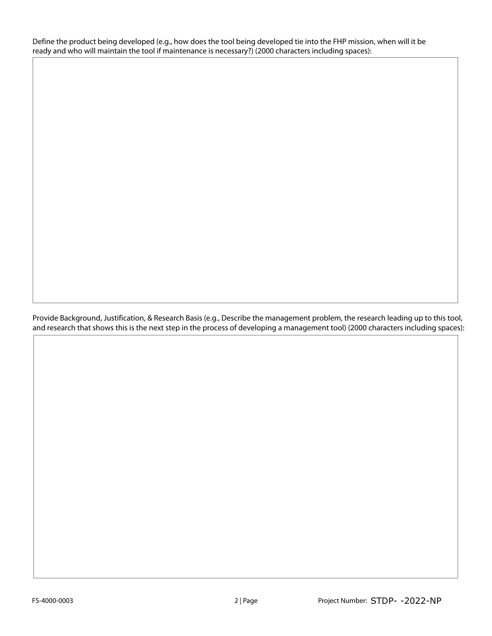Define the product being developed (e.g., how does the tool being developed tie into the FHP mission, when will it be ready and who will maintain the tool if maintenance is necessary?) (2000 characters including spaces):

Provide Background, Justification, & Research Basis (e.g., Describe the management problem, the research leading up to this tool, and research that shows this is the next step in the process of developing a management tool) (2000 characters including spaces):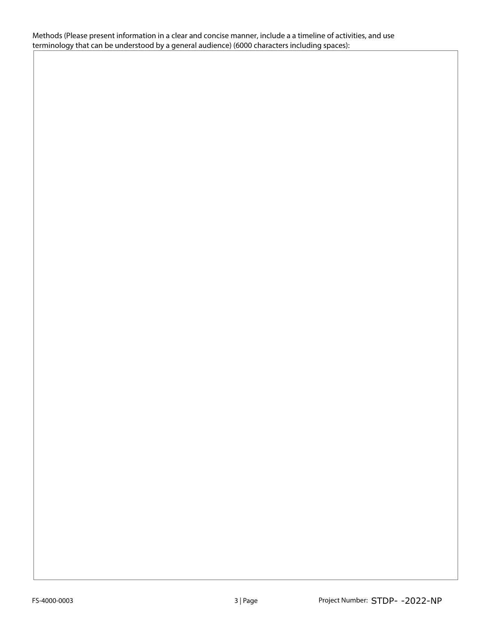Methods (Please present information in a clear and concise manner, include a a timeline of activities, and use terminology that can be understood by a general audience) (6000 characters including spaces):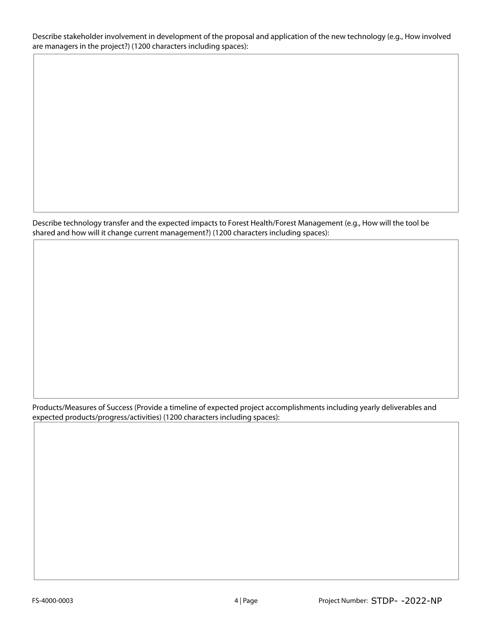Describe stakeholder involvement in development of the proposal and application of the new technology (e.g., How involved are managers in the project?) (1200 characters including spaces):

Describe technology transfer and the expected impacts to Forest Health/Forest Management (e.g., How will the tool be shared and how will it change current management?) (1200 characters including spaces):

Products/Measures of Success (Provide a timeline of expected project accomplishments including yearly deliverables and expected products/progress/activities) (1200 characters including spaces):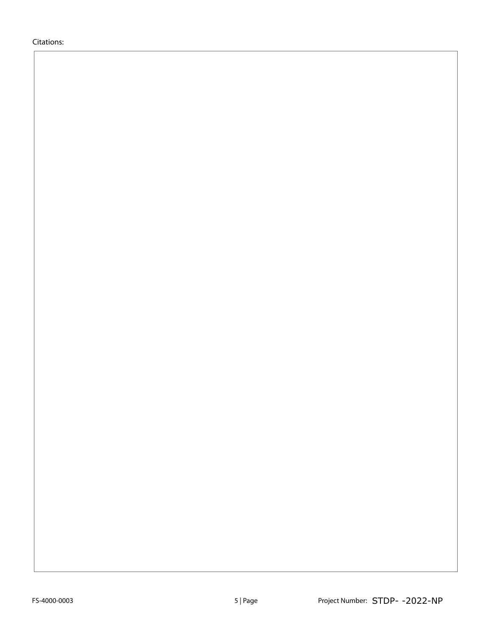Citations: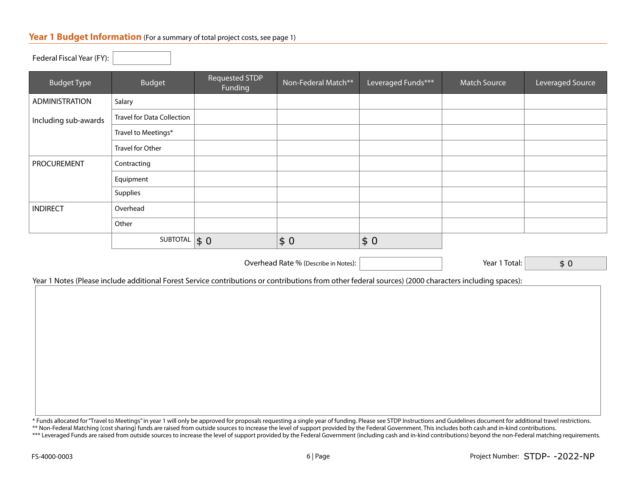## Year 1 Budget Information (For a summary of total project costs, see page 1)

Federal Fiscal Year (FY):

| Budget                            | <b>Requested STDP</b><br>Funding | Non-Federal Match**         | Leveraged Funds*** | <b>Match Source</b> | Leveraged Source |
|-----------------------------------|----------------------------------|-----------------------------|--------------------|---------------------|------------------|
| Salary                            |                                  |                             |                    |                     |                  |
| <b>Travel for Data Collection</b> |                                  |                             |                    |                     |                  |
| Travel to Meetings*               |                                  |                             |                    |                     |                  |
| Travel for Other                  |                                  |                             |                    |                     |                  |
| Contracting                       |                                  |                             |                    |                     |                  |
| Equipment                         |                                  |                             |                    |                     |                  |
| Supplies                          |                                  |                             |                    |                     |                  |
| Overhead                          |                                  |                             |                    |                     |                  |
| Other                             |                                  |                             |                    |                     |                  |
|                                   |                                  | \$0                         | \$0                |                     |                  |
|                                   |                                  | SUBTOTAL $\vert \$ 0 \vert$ |                    |                     |                  |

Overhead Rate % (Describe in Notes):  $|$  and the set of the Secret 2 and 1 Total:

\$ 0

Year 1 Notes (Please include additional Forest Service contributions or contributions from other federal sources) (2000 characters including spaces):

\* Funds allocated for "Travel to Meetings" in year 1 will only be approved for proposals requesting a single year of funding. Please see STDP Instructions and Guidelines document for additional travel restrictions.

\*\* Non-Federal Matching (cost sharing) funds are raised from outside sources to increase the level of support provided by the Federal Government. This includes both cash and in-kind contributions. \*\*\* Leveraged Funds are raised from outside sources to increase the level of support provided by the Federal Government (including cash and in-kind contributions) beyond the non-Federal matching requirements.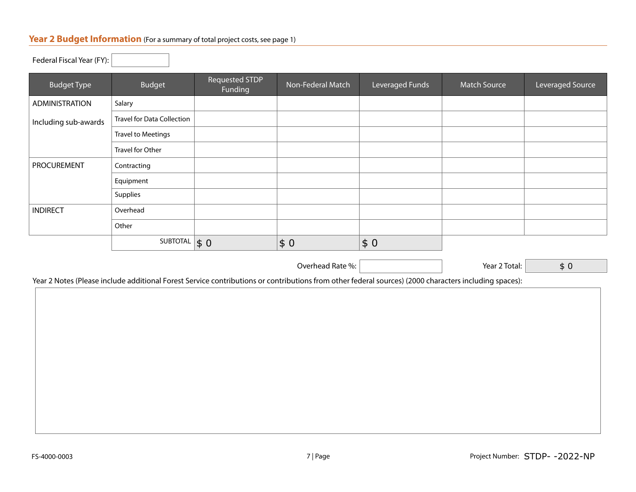#### **Year 2 Budget Information** (For a summary of total project costs, see page 1)

Federal Fiscal Year (FY):

| <b>Budget Type</b>    | Budget                            | Requested STDP<br>Funding | Non-Federal Match | Leveraged Funds | <b>Match Source</b> | Leveraged Source |
|-----------------------|-----------------------------------|---------------------------|-------------------|-----------------|---------------------|------------------|
| <b>ADMINISTRATION</b> | Salary                            |                           |                   |                 |                     |                  |
| Including sub-awards  | <b>Travel for Data Collection</b> |                           |                   |                 |                     |                  |
|                       | <b>Travel to Meetings</b>         |                           |                   |                 |                     |                  |
|                       | Travel for Other                  |                           |                   |                 |                     |                  |
| <b>PROCUREMENT</b>    | Contracting                       |                           |                   |                 |                     |                  |
|                       | Equipment                         |                           |                   |                 |                     |                  |
|                       | Supplies                          |                           |                   |                 |                     |                  |
| <b>INDIRECT</b>       | Overhead                          |                           |                   |                 |                     |                  |
|                       | Other                             |                           |                   |                 |                     |                  |
|                       | SUBTOTAL                          | \$0                       | \$0               | \$0             |                     |                  |

Overhead Rate %: Year 2 Total:

\$ 0

Year 2 Notes (Please include additional Forest Service contributions or contributions from other federal sources) (2000 characters including spaces):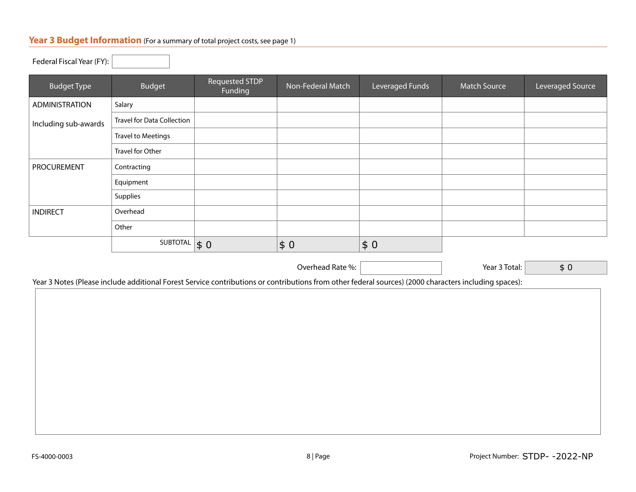## **Year 3 Budget Information** (For a summary of total project costs, see page 1)

| Federal Fiscal Year (FY): |                               |                           |                   |                 |                     |                  |
|---------------------------|-------------------------------|---------------------------|-------------------|-----------------|---------------------|------------------|
| <b>Budget Type</b>        | <b>Budget</b>                 | Requested STDP<br>Funding | Non-Federal Match | Leveraged Funds | <b>Match Source</b> | Leveraged Source |
| <b>ADMINISTRATION</b>     | Salary                        |                           |                   |                 |                     |                  |
| Including sub-awards      | Travel for Data Collection    |                           |                   |                 |                     |                  |
|                           | <b>Travel to Meetings</b>     |                           |                   |                 |                     |                  |
|                           | Travel for Other              |                           |                   |                 |                     |                  |
| <b>PROCUREMENT</b>        | Contracting                   |                           |                   |                 |                     |                  |
|                           | Equipment                     |                           |                   |                 |                     |                  |
|                           | Supplies                      |                           |                   |                 |                     |                  |
| <b>INDIRECT</b>           | Overhead                      |                           |                   |                 |                     |                  |
|                           | Other                         |                           |                   |                 |                     |                  |
|                           | SUBTOTAL $\vert \$ 0 \rangle$ |                           | \$0               | $\vert \$ 0$    |                     |                  |

Overhead Rate %: Vear 3 Total:

\$ 0

Year 3 Notes (Please include additional Forest Service contributions or contributions from other federal sources) (2000 characters including spaces):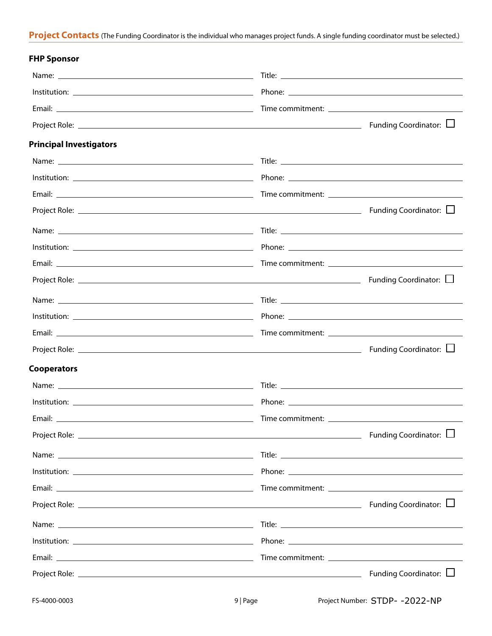### **Project Contacts** (The Funding Coordinator is the individual who manages project funds. A single funding coordinator must be selected.)

| <b>FHP Sponsor</b>                               |                             |
|--------------------------------------------------|-----------------------------|
|                                                  |                             |
|                                                  |                             |
|                                                  |                             |
|                                                  | Funding Coordinator: $\Box$ |
| <b>Principal Investigators</b>                   |                             |
|                                                  |                             |
|                                                  |                             |
|                                                  |                             |
|                                                  | Funding Coordinator: $\Box$ |
|                                                  |                             |
|                                                  |                             |
|                                                  |                             |
|                                                  |                             |
|                                                  |                             |
|                                                  |                             |
|                                                  |                             |
|                                                  | Funding Coordinator: $\Box$ |
| <b>Cooperators</b>                               |                             |
|                                                  |                             |
|                                                  |                             |
|                                                  |                             |
|                                                  |                             |
|                                                  |                             |
|                                                  |                             |
|                                                  |                             |
| Project Role: $\Box$ Funding Coordinator: $\Box$ |                             |
|                                                  |                             |
|                                                  |                             |
|                                                  |                             |
|                                                  | Funding Coordinator: $\Box$ |